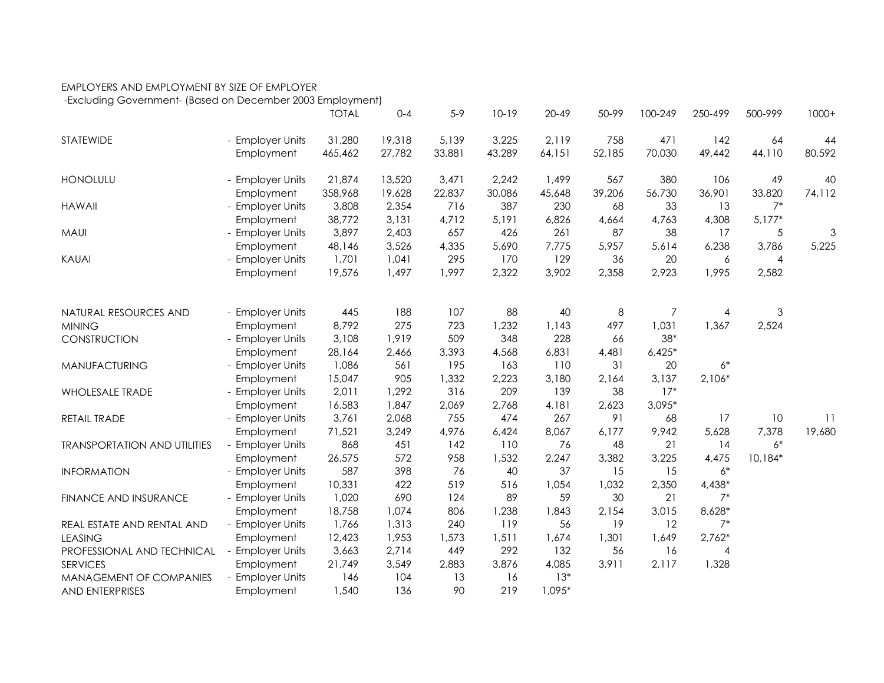## EMPLOYERS AND EMPLOYMENT BY SIZE OF EMPLOYER

-Excluding Government- (Based on December 2003 Employment)

|                                     |                                | <b>TOTAL</b> | $0 - 4$    | $5-9$  | $10-19$ | $20 - 49$ | 50-99    | 100-249  | 250-499    | 500-999                   | $1000+$         |
|-------------------------------------|--------------------------------|--------------|------------|--------|---------|-----------|----------|----------|------------|---------------------------|-----------------|
| STATEWIDE                           | - Employer Units               | 31,280       | 19,318     | 5,139  | 3,225   | 2,119     | 758      | 471      | 142        | 64                        | 44              |
|                                     | Employment                     | 465,462      | 27,782     | 33,881 | 43,289  | 64,151    | 52,185   | 70,030   | 49,442     | 44,110                    | 80,592          |
| <b>HONOLULU</b>                     | - Employer Units               | 21,874       | 13,520     | 3,471  | 2,242   | 1,499     | 567      | 380      | 106        | 49                        | 40              |
|                                     | Employment                     | 358,968      | 19,628     | 22,837 | 30,086  | 45,648    | 39,206   | 56,730   | 36,901     | 33,820                    | 74,112          |
| <b>HAWAII</b>                       | - Employer Units               | 3,808        | 2,354      | 716    | 387     | 230       | 68       | 33       | 13         | $7^*$                     |                 |
|                                     | Employment                     | 38,772       | 3,131      | 4,712  | 5,191   | 6,826     | 4,664    | 4,763    | 4,308      | $5,177*$                  |                 |
| <b>MAUI</b>                         | - Employer Units               | 3,897        | 2,403      | 657    | 426     | 261       | 87       | 38       | 17         | 5                         | 3               |
|                                     | Employment                     | 48,146       | 3,526      | 4,335  | 5,690   | 7,775     | 5,957    | 5,614    | 6,238      | 3,786                     | 5,225           |
| <b>KAUAI</b>                        | - Employer Units               | 1,701        | 1,041      | 295    | 170     | 129       | 36       | 20       | 6          | 4                         |                 |
|                                     | Employment                     | 19,576       | 1,497      | 1,997  | 2,322   | 3,902     | 2,358    | 2,923    | 1,995      | 2,582                     |                 |
|                                     |                                | 445          | 188        | 107    | 88      | 40        |          | 7        |            | $\ensuremath{\mathsf{3}}$ |                 |
| NATURAL RESOURCES AND               | - Employer Units               | 8,792        | 275        | 723    | 1,232   | 1,143     | 8<br>497 | 1,031    | 4<br>1,367 | 2,524                     |                 |
| <b>MINING</b>                       | Employment<br>- Employer Units | 3,108        | 1,919      | 509    | 348     | 228       | 66       | $38*$    |            |                           |                 |
| CONSTRUCTION                        | Employment                     | 28,164       | 2,466      | 3,393  | 4,568   | 6,831     | 4,481    | $6,425*$ |            |                           |                 |
|                                     |                                | 1,086        |            | 195    | 163     |           | 31       | 20       | $6*$       |                           |                 |
| MANUFACTURING                       | - Employer Units               |              | 561<br>905 |        | 2,223   | 110       |          |          |            |                           |                 |
|                                     | Employment                     | 15,047       |            | 1,332  |         | 3,180     | 2,164    | 3,137    | $2,106*$   |                           |                 |
| <b>WHOLESALE TRADE</b>              | - Employer Units               | 2,011        | 1,292      | 316    | 209     | 139       | 38       | $17*$    |            |                           |                 |
|                                     | Employment                     | 16,583       | 1,847      | 2,069  | 2,768   | 4,181     | 2,623    | $3,095*$ |            |                           |                 |
| RETAIL TRADE                        | - Employer Units               | 3,761        | 2,068      | 755    | 474     | 267       | 91       | 68       | 17         | 10                        | $\overline{11}$ |
|                                     | Employment                     | 71,521       | 3,249      | 4,976  | 6,424   | 8,067     | 6,177    | 9,942    | 5,628      | 7,378                     | 19,680          |
| <b>TRANSPORTATION AND UTILITIES</b> | - Employer Units               | 868          | 451        | 142    | 110     | 76        | 48       | 21       | 14         | $6*$                      |                 |
|                                     | Employment                     | 26,575       | 572        | 958    | 1,532   | 2,247     | 3,382    | 3,225    | 4,475      | 10,184*                   |                 |
| <b>INFORMATION</b>                  | - Employer Units               | 587          | 398        | 76     | 40      | 37        | 15       | 15       | $6*$       |                           |                 |
|                                     | Employment                     | 10,331       | 422        | 519    | 516     | 1,054     | 1,032    | 2,350    | 4,438*     |                           |                 |
| FINANCE AND INSURANCE               | - Employer Units               | 1,020        | 690        | 124    | 89      | 59        | 30       | 21       | $7^*$      |                           |                 |
|                                     | Employment                     | 18,758       | 1,074      | 806    | 1,238   | 1,843     | 2,154    | 3,015    | 8,628*     |                           |                 |
| REAL ESTATE AND RENTAL AND          | - Employer Units               | 1,766        | 1,313      | 240    | 119     | 56        | 19       | 12       | $7^*$      |                           |                 |
| <b>LEASING</b>                      | Employment                     | 12,423       | 1,953      | 1,573  | 1,511   | 1,674     | 1,301    | 1,649    | $2,762*$   |                           |                 |
| PROFESSIONAL AND TECHNICAL          | - Employer Units               | 3,663        | 2,714      | 449    | 292     | 132       | 56       | 16       | 4          |                           |                 |
| <b>SERVICES</b>                     | Employment                     | 21,749       | 3,549      | 2,883  | 3,876   | 4,085     | 3,911    | 2,117    | 1,328      |                           |                 |
| MANAGEMENT OF COMPANIES             | - Employer Units               | 146          | 104        | 13     | 16      | $13*$     |          |          |            |                           |                 |
| <b>AND ENTERPRISES</b>              | Employment                     | 1,540        | 136        | 90     | 219     | $1,095*$  |          |          |            |                           |                 |